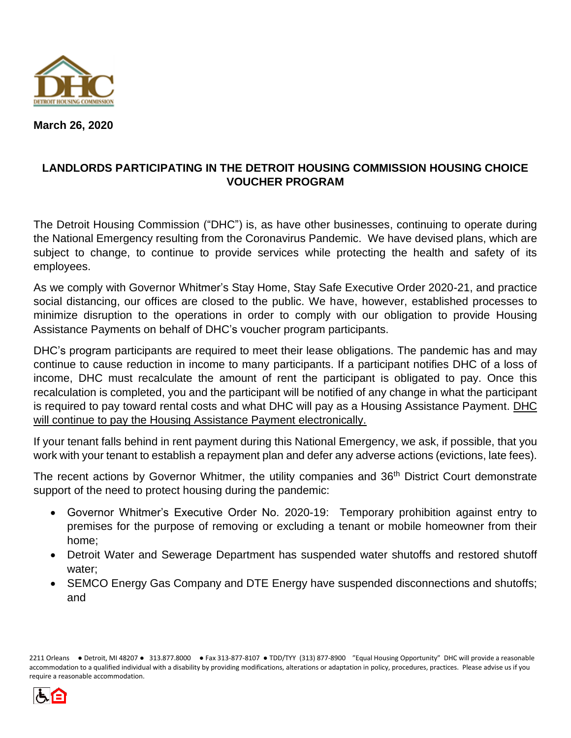

**March 26, 2020**

# **LANDLORDS PARTICIPATING IN THE DETROIT HOUSING COMMISSION HOUSING CHOICE VOUCHER PROGRAM**

The Detroit Housing Commission ("DHC") is, as have other businesses, continuing to operate during the National Emergency resulting from the Coronavirus Pandemic. We have devised plans, which are subject to change, to continue to provide services while protecting the health and safety of its employees.

As we comply with Governor Whitmer's Stay Home, Stay Safe Executive Order 2020-21, and practice social distancing, our offices are closed to the public. We have, however, established processes to minimize disruption to the operations in order to comply with our obligation to provide Housing Assistance Payments on behalf of DHC's voucher program participants.

DHC's program participants are required to meet their lease obligations. The pandemic has and may continue to cause reduction in income to many participants. If a participant notifies DHC of a loss of income, DHC must recalculate the amount of rent the participant is obligated to pay. Once this recalculation is completed, you and the participant will be notified of any change in what the participant is required to pay toward rental costs and what DHC will pay as a Housing Assistance Payment. DHC will continue to pay the Housing Assistance Payment electronically.

If your tenant falls behind in rent payment during this National Emergency, we ask, if possible, that you work with your tenant to establish a repayment plan and defer any adverse actions (evictions, late fees).

The recent actions by Governor Whitmer, the utility companies and 36<sup>th</sup> District Court demonstrate support of the need to protect housing during the pandemic:

- Governor Whitmer's Executive Order No. 2020-19: Temporary prohibition against entry to premises for the purpose of removing or excluding a tenant or mobile homeowner from their home;
- Detroit Water and Sewerage Department has suspended water shutoffs and restored shutoff water;
- SEMCO Energy Gas Company and DTE Energy have suspended disconnections and shutoffs; and

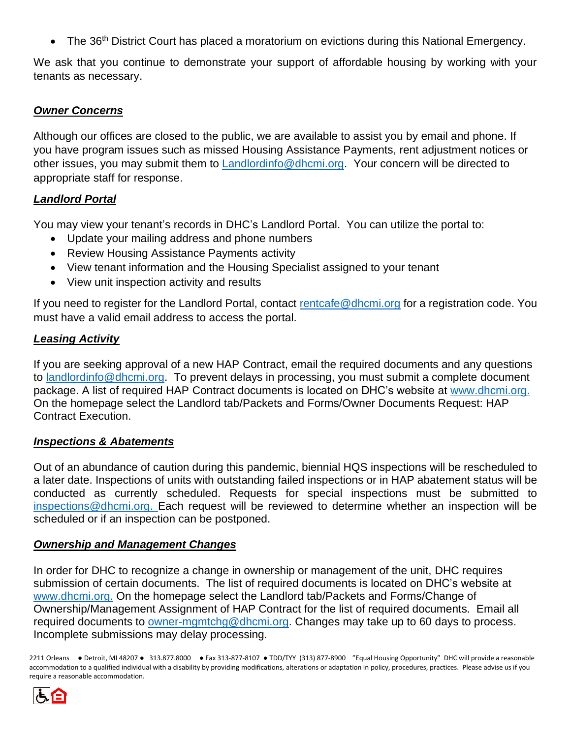• The 36<sup>th</sup> District Court has placed a moratorium on evictions during this National Emergency.

We ask that you continue to demonstrate your support of affordable housing by working with your tenants as necessary.

# *Owner Concerns*

Although our offices are closed to the public, we are available to assist you by email and phone. If you have program issues such as missed Housing Assistance Payments, rent adjustment notices or other issues, you may submit them to **Landlordinfo@dhcmi.org.** Your concern will be directed to appropriate staff for response.

## *Landlord Portal*

You may view your tenant's records in DHC's Landlord Portal. You can utilize the portal to:

- Update your mailing address and phone numbers
- Review Housing Assistance Payments activity
- View tenant information and the Housing Specialist assigned to your tenant
- View unit inspection activity and results

If you need to register for the Landlord Portal, contact [rentcafe@dhcmi.org](mailto:rentcafe@dhcmi.org) for a registration code. You must have a valid email address to access the portal.

## *Leasing Activity*

If you are seeking approval of a new HAP Contract, email the required documents and any questions to [landlordinfo@dhcmi.org.](mailto:landlordinfo@dhcmi.org) To prevent delays in processing, you must submit a complete document package. A list of required HAP Contract documents is located on DHC's website at [www.dhcmi.org.](http://www.dhcmi.org/) On the homepage select the Landlord tab/Packets and Forms/Owner Documents Request: HAP Contract Execution.

### *Inspections & Abatements*

Out of an abundance of caution during this pandemic, biennial HQS inspections will be rescheduled to a later date. Inspections of units with outstanding failed inspections or in HAP abatement status will be conducted as currently scheduled. Requests for special inspections must be submitted to [inspections@dhcmi.org.](mailto:inspections@dhcmi.org) Each request will be reviewed to determine whether an inspection will be scheduled or if an inspection can be postponed.

### *Ownership and Management Changes*

In order for DHC to recognize a change in ownership or management of the unit, DHC requires submission of certain documents. The list of required documents is located on DHC's website at [www.dhcmi.org.](http://www.dhcmi.org/) On the homepage select the Landlord tab/Packets and Forms/Change of Ownership/Management Assignment of HAP Contract for the list of required documents. Email all required documents to [owner-mgmtchg@dhcmi.org.](mailto:owner-mgmtchg@dhcmi.org) Changes may take up to 60 days to process. Incomplete submissions may delay processing.

2211 Orleans ● Detroit, MI 48207 ● 313.877.8000 ● Fax 313-877-8107 ● TDD/TYY (313) 877-8900 "Equal Housing Opportunity" DHC will provide a reasonable accommodation to a qualified individual with a disability by providing modifications, alterations or adaptation in policy, procedures, practices. Please advise us if you require a reasonable accommodation.